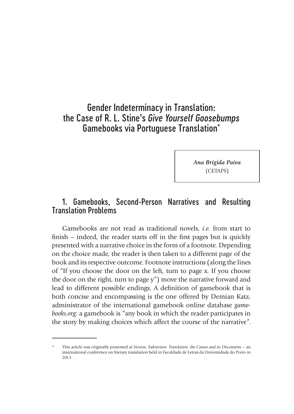# Gender Indeterminacy in Translation: the Case of R. L. Stine's *Give Yourself Goosebumps* Gamebooks via Portuguese Translation\*

*Ana Brígida Paiva* (CETAPS)

# 1. Gamebooks, Second-Person Narratives and Resulting Translation Problems

Gamebooks are not read as traditional novels, *i.e.* from start to finish – indeed, the reader starts off in the first pages but is quickly presented with a narrative choice in the form of a footnote. Depending on the choice made, the reader is then taken to a different page of the book and its respective outcome. Footnote instructions (along the lines of "If you choose the door on the left, turn to page x. If you choose the door on the right, turn to page y") move the narrative forward and lead to different possible endings. A definition of gamebook that is both concise and encompassing is the one offered by Demian Katz, administrator of the international gamebook online database *gamebooks.org*: a gamebook is "any book in which the reader participates in the story by making choices which affect the course of the narrative".

<sup>\*</sup> This article was originally presented at *Version, Subversion: Translation, the Canon and its Discontents* – an international conference on literary translation held in Faculdade de Letras da Universidade do Porto in 2013.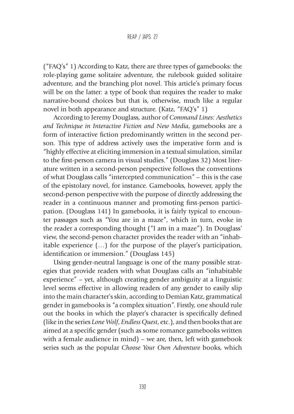("FAQ's" 1) According to Katz, there are three types of gamebooks: the role-playing game solitaire adventure, the rulebook guided solitaire adventure, and the branching plot novel. This article's primary focus will be on the latter: a type of book that requires the reader to make narrative-bound choices but that is, otherwise, much like a regular novel in both appearance and structure. (Katz, "FAQ's" 1)

According to Jeremy Douglass, author of *Command Lines: Aesthetics and Technique in Interactive Fiction and New Media*, gamebooks are a form of interactive fiction predominantly written in the second person. This type of address actively uses the imperative form and is "highly effective at eliciting immersion in a textual simulation, similar to the first-person camera in visual studies." (Douglass 32) Most literature written in a second-person perspective follows the conventions of what Douglass calls "intercepted communication" – this is the case of the epistolary novel, for instance. Gamebooks, however, apply the second-person perspective with the purpose of directly addressing the reader in a continuous manner and promoting first-person participation. (Douglass 141) In gamebooks, it is fairly typical to encounter passages such as "You are in a maze", which in turn, evoke in the reader a corresponding thought ("I am in a maze"). In Douglass' view, the second-person character provides the reader with an "inhabitable experience (…) for the purpose of the player's participation, identification or immersion." (Douglass 145)

Using gender-neutral language is one of the many possible strategies that provide readers with what Douglass calls an "inhabitable experience" – yet, although creating gender ambiguity at a linguistic level seems effective in allowing readers of any gender to easily slip into the main character's skin, according to Demian Katz, grammatical gender in gamebooks is "a complex situation". Firstly, one should rule out the books in which the player's character is specifically defined (like in the series *Lone Wolf*, *Endless Quest*, etc.), and then books that are aimed at a specific gender (such as some romance gamebooks written with a female audience in mind) – we are, then, left with gamebook series such as the popular *Choose Your Own Adventure* books, which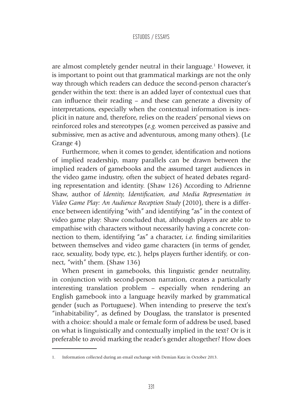are almost completely gender neutral in their language.<sup>1</sup> However, it is important to point out that grammatical markings are not the only way through which readers can deduce the second-person character's gender within the text: there is an added layer of contextual cues that can influence their reading – and these can generate a diversity of interpretations, especially when the contextual information is inexplicit in nature and, therefore, relies on the readers' personal views on reinforced roles and stereotypes (*e.g*. women perceived as passive and submissive, men as active and adventurous, among many others). (Le Grange 4)

Furthermore, when it comes to gender, identification and notions of implied readership, many parallels can be drawn between the implied readers of gamebooks and the assumed target audiences in the video game industry, often the subject of heated debates regarding representation and identity. (Shaw 126) According to Adrienne Shaw, author of *Identity, Identification, and Media Representation in Video Game Play: An Audience Reception Study* (2010), there is a difference between identifying "with" and identifying "as" in the context of video game play: Shaw concluded that, although players are able to empathise with characters without necessarily having a concrete connection to them, identifying "as" a character, *i.e.* finding similarities between themselves and video game characters (in terms of gender, race, sexuality, body type, etc.), helps players further identify, or connect, "with" them. (Shaw 136)

When present in gamebooks, this linguistic gender neutrality, in conjunction with second-person narration, creates a particularly interesting translation problem – especially when rendering an English gamebook into a language heavily marked by grammatical gender (such as Portuguese). When intending to preserve the text's "inhabitability", as defined by Douglass, the translator is presented with a choice: should a male or female form of address be used, based on what is linguistically and contextually implied in the text? Or is it preferable to avoid marking the reader's gender altogether? How does

<sup>1.</sup> Information collected during an email exchange with Demian Katz in October 2013.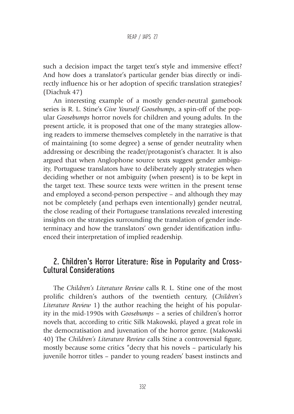such a decision impact the target text's style and immersive effect? And how does a translator's particular gender bias directly or indirectly influence his or her adoption of specific translation strategies? (Diachuk 47)

An interesting example of a mostly gender-neutral gamebook series is R. L. Stine's *Give Yourself Goosebumps*, a spin-off of the popular *Goosebumps* horror novels for children and young adults. In the present article, it is proposed that one of the many strategies allowing readers to immerse themselves completely in the narrative is that of maintaining (to some degree) a sense of gender neutrality when addressing or describing the reader/protagonist's character. It is also argued that when Anglophone source texts suggest gender ambiguity, Portuguese translators have to deliberately apply strategies when deciding whether or not ambiguity (when present) is to be kept in the target text. These source texts were written in the present tense and employed a second-person perspective – and although they may not be completely (and perhaps even intentionally) gender neutral, the close reading of their Portuguese translations revealed interesting insights on the strategies surrounding the translation of gender indeterminacy and how the translators' own gender identification influenced their interpretation of implied readership.

# 2. Children's Horror Literature: Rise in Popularity and Cross-Cultural Considerations

The *Children's Literature Review* calls R. L. Stine one of the most prolific children's authors of the twentieth century, (*Children's Literature Review* 1) the author reaching the height of his popularity in the mid-1990s with *Goosebumps –* a series of children's horror novels that, according to critic Silk Makowski, played a great role in the democratisation and juvenation of the horror genre. (Makowski 40) The *Children's Literature Review* calls Stine a controversial figure, mostly because some critics "decry that his novels – particularly his juvenile horror titles – pander to young readers' basest instincts and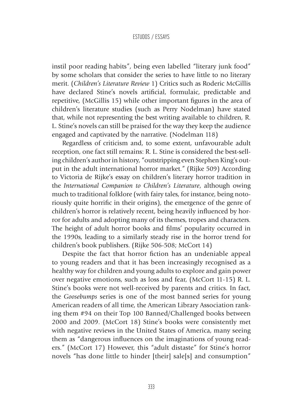instil poor reading habits", being even labelled "literary junk food" by some scholars that consider the series to have little to no literary merit. (*Children's Literature Review* 1) Critics such as Roderic McGillis have declared Stine's novels artificial, formulaic, predictable and repetitive, (McGillis 15) while other important figures in the area of children's literature studies (such as Perry Nodelman) have stated that, while not representing the best writing available to children, R. L. Stine's novels can still be praised for the way they keep the audience engaged and captivated by the narrative. (Nodelman 118)

Regardless of criticism and, to some extent, unfavourable adult reception, one fact still remains: R. L. Stine is considered the best-selling children's author in history, "outstripping even Stephen King's output in the adult international horror market." (Rijke 509) According to Victoria de Rijke's essay on children's literary horror tradition in the *International Companion to Children's Literature*, although owing much to traditional folklore (with fairy tales, for instance, being notoriously quite horrific in their origins), the emergence of the genre of children's horror is relatively recent, being heavily influenced by horror for adults and adopting many of its themes, tropes and characters. The height of adult horror books and films' popularity occurred in the 1990s, leading to a similarly steady rise in the horror trend for children's book publishers. (Rijke 506-508; McCort 14)

Despite the fact that horror fiction has an undeniable appeal to young readers and that it has been increasingly recognised as a healthy way for children and young adults to explore and gain power over negative emotions, such as loss and fear, (McCort 11-15) R. L. Stine's books were not well-received by parents and critics. In fact, the *Goosebumps* series is one of the most banned series for young American readers of all time, the American Library Association ranking them #94 on their Top 100 Banned/Challenged books between 2000 and 2009. (McCort 18) Stine's books were consistently met with negative reviews in the United States of America, many seeing them as "dangerous influences on the imaginations of young readers." (McCort 17) However, this "adult distaste" for Stine's horror novels "has done little to hinder [their] sale[s] and consumption"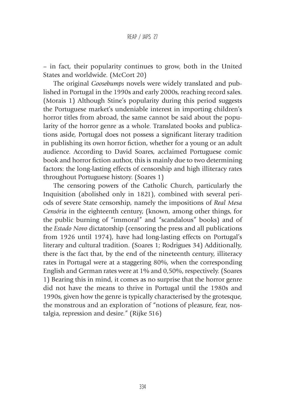– in fact, their popularity continues to grow, both in the United States and worldwide. (McCort 20)

The original *Goosebumps* novels were widely translated and published in Portugal in the 1990s and early 2000s, reaching record sales. (Morais 1) Although Stine's popularity during this period suggests the Portuguese market's undeniable interest in importing children's horror titles from abroad, the same cannot be said about the popularity of the horror genre as a whole. Translated books and publications aside, Portugal does not possess a significant literary tradition in publishing its own horror fiction, whether for a young or an adult audience. According to David Soares, acclaimed Portuguese comic book and horror fiction author, this is mainly due to two determining factors: the long-lasting effects of censorship and high illiteracy rates throughout Portuguese history. (Soares 1)

The censoring powers of the Catholic Church, particularly the Inquisition (abolished only in 1821), combined with several periods of severe State censorship, namely the impositions of *Real Mesa Censória* in the eighteenth century, (known, among other things, for the public burning of "immoral" and "scandalous" books) and of the *Estado Novo* dictatorship (censoring the press and all publications from 1926 until 1974), have had long-lasting effects on Portugal's literary and cultural tradition. (Soares 1; Rodrigues 34) Additionally, there is the fact that, by the end of the nineteenth century, illiteracy rates in Portugal were at a staggering 80%, when the corresponding English and German rates were at 1% and 0,50%, respectively. (Soares 1) Bearing this in mind, it comes as no surprise that the horror genre did not have the means to thrive in Portugal until the 1980s and 1990s, given how the genre is typically characterised by the grotesque, the monstrous and an exploration of "notions of pleasure, fear, nostalgia, repression and desire." (Rijke 516)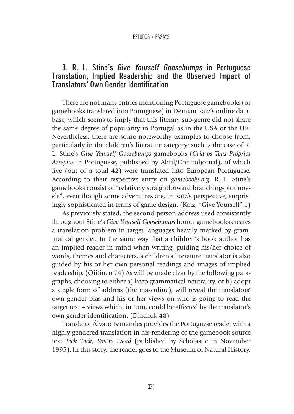# 3. R. L. Stine's *Give Yourself Goosebumps* in Portuguese Translation, Implied Readership and the Observed Impact of Translators' Own Gender Identification

There are not many entries mentioning Portuguese gamebooks (or gamebooks translated into Portuguese) in Demian Katz's online database, which seems to imply that this literary sub-genre did not share the same degree of popularity in Portugal as in the USA or the UK. Nevertheless, there are some noteworthy examples to choose from, particularly in the children's literature category: such is the case of R. L. Stine's *Give Yourself Goosebumps* gamebooks (*Cria os Teus Próprios Arrepios* in Portuguese, published by Abril/Controljornal), of which five (out of a total 42) were translated into European Portuguese. According to their respective entry on *gamebooks.org*, R. L. Stine's gamebooks consist of "relatively straightforward branching-plot novels", even though some adventures are, in Katz's perspective, surprisingly sophisticated in terms of game design. (Katz, "Give Yourself" 1)

As previously stated, the second-person address used consistently throughout Stine's *Give Yourself Goosebumps* horror gamebooks creates a translation problem in target languages heavily marked by grammatical gender. In the same way that a children's book author has an implied reader in mind when writing, guiding his/her choice of words, themes and characters, a children's literature translator is also guided by his or her own personal readings and images of implied readership. (Oiitinen 74) As will be made clear by the following paragraphs, choosing to either a) keep grammatical neutrality, or b) adopt a single form of address (the masculine), will reveal the translators' own gender bias and his or her views on who is going to read the target text – views which, in turn, could be affected by the translator's own gender identification. (Diachuk 48)

Translator Álvaro Fernandes provides the Portuguese reader with a highly gendered translation in his rendering of the gamebook source text *Tick Tock, You're Dead* (published by Scholastic in November 1995). In this story, the reader goes to the Museum of Natural History,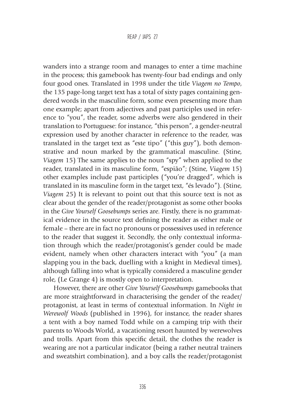wanders into a strange room and manages to enter a time machine in the process; this gamebook has twenty-four bad endings and only four good ones. Translated in 1998 under the title *Viagem no Tempo*, the 135 page-long target text has a total of sixty pages containing gendered words in the masculine form, some even presenting more than one example; apart from adjectives and past participles used in reference to "you", the reader, some adverbs were also gendered in their translation to Portuguese: for instance, "this person", a gender-neutral expression used by another character in reference to the reader, was translated in the target text as "este tipo" ("this guy"), both demonstrative and noun marked by the grammatical masculine. (Stine, *Viagem* 15) The same applies to the noun "spy" when applied to the reader, translated in its masculine form, "espião"; (Stine, *Viagem* 15) other examples include past participles ("you're dragged", which is translated in its masculine form in the target text, "és levado"). (Stine, *Viagem* 25) It is relevant to point out that this source text is not as clear about the gender of the reader/protagonist as some other books in the *Give Yourself Goosebumps* series are. Firstly, there is no grammatical evidence in the source text defining the reader as either male or female – there are in fact no pronouns or possessives used in reference to the reader that suggest it. Secondly, the only contextual information through which the reader/protagonist's gender could be made evident, namely when other characters interact with "you" (a man slapping you in the back, duelling with a knight in Medieval times), although falling into what is typically considered a masculine gender role, (Le Grange 4) is mostly open to interpretation.

However, there are other *Give Yourself Goosebumps* gamebooks that are more straightforward in characterising the gender of the reader/ protagonist, at least in terms of contextual information. In *Night in Werewolf Woods* (published in 1996), for instance, the reader shares a tent with a boy named Todd while on a camping trip with their parents to Woods World, a vacationing resort haunted by werewolves and trolls. Apart from this specific detail, the clothes the reader is wearing are not a particular indicator (being a rather neutral trainers and sweatshirt combination), and a boy calls the reader/protagonist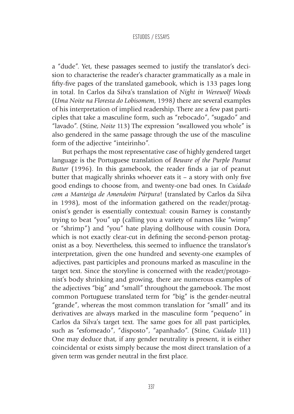a "dude". Yet, these passages seemed to justify the translator's decision to characterise the reader's character grammatically as a male in fifty-five pages of the translated gamebook, which is 133 pages long in total. In Carlos da Silva's translation of *Night in Werewolf Woods* (*Uma Noite na Floresta do Lobisomem*, 1998*)* there are several examples of his interpretation of implied readership. There are a few past participles that take a masculine form, such as "rebocado", "sugado" and "lavado". (Stine, *Noite* 113) The expression "swallowed you whole" is also gendered in the same passage through the use of the masculine form of the adjective "inteirinho".

But perhaps the most representative case of highly gendered target language is the Portuguese translation of *Beware of the Purple Peanut Butter* (1996). In this gamebook, the reader finds a jar of peanut butter that magically shrinks whoever eats it – a story with only five good endings to choose from, and twenty-one bad ones. In *Cuidado com a Manteiga de Amendoim Púrpura*! (translated by Carlos da Silva in 1998), most of the information gathered on the reader/protagonist's gender is essentially contextual: cousin Barney is constantly trying to beat "you" up (calling you a variety of names like "wimp" or "shrimp") and "you" hate playing dollhouse with cousin Dora, which is not exactly clear-cut in defining the second-person protagonist as a boy. Nevertheless, this seemed to influence the translator's interpretation, given the one hundred and seventy-one examples of adjectives, past participles and pronouns marked as masculine in the target text. Since the storyline is concerned with the reader/protagonist's body shrinking and growing, there are numerous examples of the adjectives "big" and "small" throughout the gamebook. The most common Portuguese translated term for "big" is the gender-neutral "grande", whereas the most common translation for "small" and its derivatives are always marked in the masculine form "pequeno" in Carlos da Silva's target text. The same goes for all past participles, such as "esfomeado", "disposto", "apanhado". (Stine, *Cuidado* 111) One may deduce that, if any gender neutrality is present, it is either coincidental or exists simply because the most direct translation of a given term was gender neutral in the first place.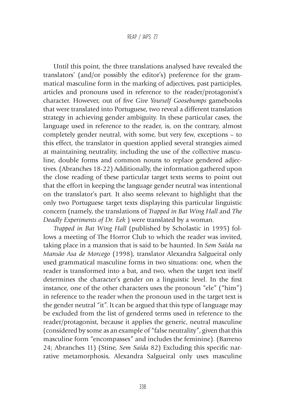Until this point, the three translations analysed have revealed the translators' (and/or possibly the editor's) preference for the grammatical masculine form in the marking of adjectives, past participles, articles and pronouns used in reference to the reader/protagonist's character. However, out of five *Give Yourself Goosebumps* gamebooks that were translated into Portuguese, two reveal a different translation strategy in achieving gender ambiguity. In these particular cases, the language used in reference to the reader, is, on the contrary, almost completely gender neutral, with some, but very few, exceptions – to this effect, the translator in question applied several strategies aimed at maintaining neutrality, including the use of the collective masculine, double forms and common nouns to replace gendered adjectives. (Abranches 18-22) Additionally, the information gathered upon the close reading of these particular target texts seems to point out that the effort in keeping the language gender neutral was intentional on the translator's part. It also seems relevant to highlight that the only two Portuguese target texts displaying this particular linguistic concern (namely, the translations of *Trapped in Bat Wing Hall* and *The Deadly Experiments of Dr. Eek* ) were translated by a woman.

*Trapped in Bat Wing Hall* (published by Scholastic in 1995) follows a meeting of The Horror Club to which the reader was invited, taking place in a mansion that is said to be haunted. In *Sem Saída na Mansão Asa de Morcego* (1998), translator Alexandra Salgueiral only used grammatical masculine forms in two situations: one, when the reader is transformed into a bat, and two, when the target text itself determines the character's gender on a linguistic level. In the first instance, one of the other characters uses the pronoun "ele" ("him") in reference to the reader when the pronoun used in the target text is the gender neutral "it". It can be argued that this type of language may be excluded from the list of gendered terms used in reference to the reader/protagonist, because it applies the generic, neutral masculine (considered by some as an example of "false neutrality", given that this masculine form "encompasses" and includes the feminine). (Barreno 24; Abranches 11) (Stine, *Sem Saída* 82) Excluding this specific narrative metamorphosis, Alexandra Salgueiral only uses masculine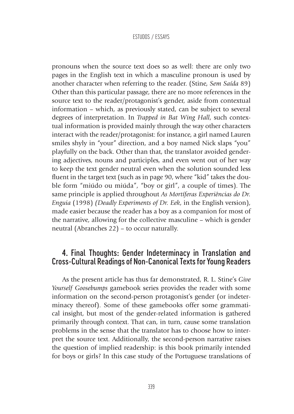pronouns when the source text does so as well: there are only two pages in the English text in which a masculine pronoun is used by another character when referring to the reader. (Stine, *Sem Saída* 89) Other than this particular passage, there are no more references in the source text to the reader/protagonist's gender, aside from contextual information – which, as previously stated, can be subject to several degrees of interpretation. In *Trapped in Bat Wing Hall*, such contextual information is provided mainly through the way other characters interact with the reader/protagonist: for instance, a girl named Lauren smiles shyly in "your" direction, and a boy named Nick slaps "you" playfully on the back. Other than that, the translator avoided gendering adjectives, nouns and participles, and even went out of her way to keep the text gender neutral even when the solution sounded less fluent in the target text (such as in page 90, where "kid" takes the double form "miúdo ou miúda", "boy or girl", a couple of times). The same principle is applied throughout *As Mortíferas Experiências do Dr. Enguia* (1998) *(Deadly Experiments of Dr. Eek*, in the English version), made easier because the reader has a boy as a companion for most of the narrative, allowing for the collective masculine – which is gender neutral (Abranches 22) – to occur naturally.

# 4. Final Thoughts: Gender Indeterminacy in Translation and Cross-Cultural Readings of Non-Canonical Texts for Young Readers

As the present article has thus far demonstrated, R. L. Stine's *Give Yourself Goosebumps* gamebook series provides the reader with some information on the second-person protagonist's gender (or indeterminacy thereof). Some of these gamebooks offer some grammatical insight, but most of the gender-related information is gathered primarily through context. That can, in turn, cause some translation problems in the sense that the translator has to choose how to interpret the source text. Additionally, the second-person narrative raises the question of implied readership: is this book primarily intended for boys or girls? In this case study of the Portuguese translations of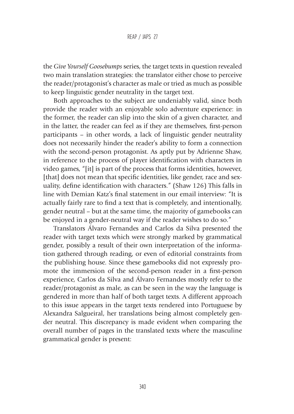#### REAP / JAPS 27

the *Give Yourself Goosebumps* series, the target texts in question revealed two main translation strategies: the translator either chose to perceive the reader/protagonist's character as male or tried as much as possible to keep linguistic gender neutrality in the target text.

Both approaches to the subject are undeniably valid, since both provide the reader with an enjoyable solo adventure experience: in the former, the reader can slip into the skin of a given character, and in the latter, the reader can feel as if they are themselves, first-person participants – in other words, a lack of linguistic gender neutrality does not necessarily hinder the reader's ability to form a connection with the second-person protagonist. As aptly put by Adrienne Shaw, in reference to the process of player identification with characters in video games, "[it] is part of the process that forms identities, however, [that] does not mean that specific identities, like gender, race and sexuality, define identification with characters." (Shaw 126) This falls in line with Demian Katz's final statement in our email interview: "It is actually fairly rare to find a text that is completely, and intentionally, gender neutral – but at the same time, the majority of gamebooks can be enjoyed in a gender-neutral way if the reader wishes to do so."

Translators Álvaro Fernandes and Carlos da Silva presented the reader with target texts which were strongly marked by grammatical gender, possibly a result of their own interpretation of the information gathered through reading, or even of editorial constraints from the publishing house. Since these gamebooks did not expressly promote the immersion of the second-person reader in a first-person experience, Carlos da Silva and Álvaro Fernandes mostly refer to the reader/protagonist as male, as can be seen in the way the language is gendered in more than half of both target texts. A different approach to this issue appears in the target texts rendered into Portuguese by Alexandra Salgueiral, her translations being almost completely gender neutral. This discrepancy is made evident when comparing the overall number of pages in the translated texts where the masculine grammatical gender is present: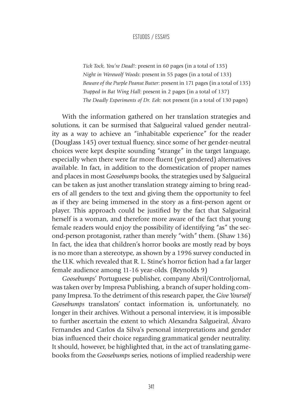*Tick Tock, You're Dead*!: present in 60 pages (in a total of 135) *Night in Werewolf Woods*: present in 55 pages (in a total of 133) *Beware of the Purple Peanut Butter*: present in 171 pages (in a total of 135) *Trapped in Bat Wing Hall*: present in 2 pages (in a total of 137) *The Deadly Experiments of Dr. Eek:* not present (in a total of 130 pages)

With the information gathered on her translation strategies and solutions, it can be surmised that Salgueiral valued gender neutrality as a way to achieve an "inhabitable experience" for the reader (Douglass 145) over textual fluency, since some of her gender-neutral choices were kept despite sounding "strange" in the target language, especially when there were far more fluent (yet gendered) alternatives available. In fact, in addition to the domestication of proper names and places in most *Goosebumps* books, the strategies used by Salgueiral can be taken as just another translation strategy aiming to bring readers of all genders to the text and giving them the opportunity to feel as if they are being immersed in the story as a first-person agent or player. This approach could be justified by the fact that Salgueiral herself is a woman, and therefore more aware of the fact that young female readers would enjoy the possibility of identifying "as" the second-person protagonist, rather than merely "with" them. (Shaw 136) In fact, the idea that children's horror books are mostly read by boys is no more than a stereotype, as shown by a 1996 survey conducted in the U.K. which revealed that R. L. Stine's horror fiction had a far larger female audience among 11-16 year-olds. (Reynolds 9)

*Goosebumps*' Portuguese publisher, company Abril/Controljornal, was taken over by Impresa Publishing, a branch of super holding company Impresa. To the detriment of this research paper, the *Give Yourself Goosebumps* translators' contact information is, unfortunately, no longer in their archives. Without a personal interview, it is impossible to further ascertain the extent to which Alexandra Salgueiral, Álvaro Fernandes and Carlos da Silva's personal interpretations and gender bias influenced their choice regarding grammatical gender neutrality. It should, however, be highlighted that, in the act of translating gamebooks from the *Goosebumps* series, notions of implied readership were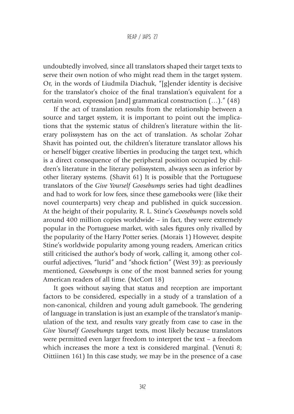#### REAP / JAPS 27

undoubtedly involved, since all translators shaped their target texts to serve their own notion of who might read them in the target system. Or, in the words of Liudmila Diachuk, "[g]ender identity is decisive for the translator's choice of the final translation's equivalent for a certain word, expression [and] grammatical construction (…)." (48)

If the act of translation results from the relationship between a source and target system, it is important to point out the implications that the systemic status of children's literature within the literary polissystem has on the act of translation. As scholar Zohar Shavit has pointed out, the children's literature translator allows his or herself bigger creative liberties in producing the target text, which is a direct consequence of the peripheral position occupied by children's literature in the literary polissystem, always seen as inferior by other literary systems. (Shavit 61) It is possible that the Portuguese translators of the *Give Yourself Goosebumps* series had tight deadlines and had to work for low fees, since these gamebooks were (like their novel counterparts) very cheap and published in quick succession. At the height of their popularity, R. L. Stine's *Goosebumps* novels sold around 400 million copies worldwide – in fact, they were extremely popular in the Portuguese market, with sales figures only rivalled by the popularity of the Harry Potter series. (Morais 1) However, despite Stine's worldwide popularity among young readers, American critics still criticised the author's body of work, calling it, among other colourful adjectives, "lurid" and "shock fiction" (West 39): as previously mentioned, *Goosebumps* is one of the most banned series for young American readers of all time. (McCort 18)

It goes without saying that status and reception are important factors to be considered, especially in a study of a translation of a non-canonical, children and young adult gamebook. The gendering of language in translation is just an example of the translator's manipulation of the text, and results vary greatly from case to case in the *Give Yourself Goosebumps* target texts, most likely because translators were permitted even larger freedom to interpret the text – a freedom which increases the more a text is considered marginal. (Venuti 8; Oittiinen 161) In this case study, we may be in the presence of a case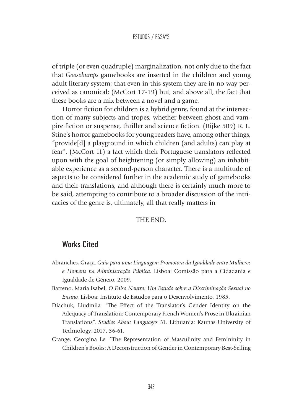of triple (or even quadruple) marginalization, not only due to the fact that *Goosebumps* gamebooks are inserted in the children and young adult literary system; that even in this system they are in no way perceived as canonical; (McCort 17-19) but, and above all, the fact that these books are a mix between a novel and a game.

Horror fiction for children is a hybrid genre, found at the intersection of many subjects and tropes, whether between ghost and vampire fiction or suspense, thriller and science fiction. (Rijke 509) R. L. Stine's horror gamebooks for young readers have, among other things, "provide[d] a playground in which children (and adults) can play at fear", (McCort 11) a fact which their Portuguese translators reflected upon with the goal of heightening (or simply allowing) an inhabitable experience as a second-person character. There is a multitude of aspects to be considered further in the academic study of gamebooks and their translations, and although there is certainly much more to be said, attempting to contribute to a broader discussion of the intricacies of the genre is, ultimately, all that really matters in

### THE END.

# Works Cited

- Abranches, Graça. *Guia para uma Linguagem Promotora da Igualdade entre Mulheres e Homens na Administração Pública*. Lisboa: Comissão para a Cidadania e Igualdade de Género, 2009.
- Barreno, Maria Isabel. *O Falso Neutro: Um Estudo sobre a Discriminação Sexual no Ensino.* Lisboa: Instituto de Estudos para o Desenvolvimento, 1985.
- Diachuk, Liudmila. "The Effect of the Translator's Gender Identity on the Adequacy of Translation: Contemporary French Women's Prose in Ukrainian Translations". *Studies About Languages* 31. Lithuania: Kaunas University of Technology, 2017. 36-61.
- Grange, Georgina Le. "The Representation of Masculinity and Femininity in Children's Books: A Deconstruction of Gender in Contemporary Best-Selling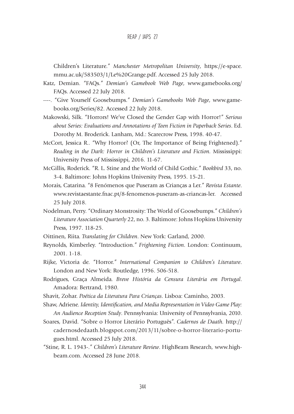Children's Literature." *Manchester Metropolitan University*, https://e-space. mmu.ac.uk/583503/1/Le%20Grange.pdf. Accessed 25 July 2018.

- Katz, Demian. "FAQs." *Demian's Gamebook Web Page*, www.gamebooks.org/ FAQs. Accessed 22 July 2018.
- ----. "Give Yourself Goosebumps." *Demian's Gamebooks Web Page*, www.gamebooks.org/Series/82. Accessed 22 July 2018.
- Makowski, Silk. "Horrors! We've Closed the Gender Gap with Horror!" *Serious about Series: Evaluations and Annotations of Teen Fiction in Paperback Series*. Ed. Dorothy M. Broderick. Lanham, Md.: Scarecrow Press, 1998. 40-47.
- McCort, Jessica R.. "Why Horror? (Or, The Importance of Being Frightened)." *Reading in the Dark: Horror in Children's Literature and Fiction.* Mississippi: University Press of Mississippi, 2016. 11-67.
- McGillis, Roderick. "R. L. Stine and the World of Child Gothic." *Bookbird* 33, no. 3-4. Baltimore: Johns Hopkins University Press, 1995. 15-21.
- Morais, Catarina. "8 Fenómenos que Puseram as Crianças a Ler." *Revista Estante*. www.revistaestante.fnac.pt/8-fenomenos-puseram-as-criancas-ler. Accessed 25 July 2018.
- Nodelman, Perry. "Ordinary Monstrosity: The World of Goosebumps." *Children's Literature Association Quarterly* 22, no. 3. Baltimore: Johns Hopkins University Press, 1997. 118-25.
- Oittinen, Riita. *Translating for Children*. New York: Garland, 2000.
- Reynolds, Kimberley. "Introduction." *Frightening Fiction*. London: Continuum, 2001. 1-18.
- Rijke, Victoria de. "Horror." *International Companion to Children's Literature*. London and New York: Routledge, 1996. 506-518.
- Rodrigues, Graça Almeida. *Breve História da Censura Literária em Portugal*. Amadora: Bertrand, 1980.
- Shavit, Zohar. *Poética da Literatura Para Crianças*. Lisboa: Caminho, 2003.
- Shaw, Adriene. *Identity, Identification, and Media Representation in Video Game Play: An Audience Reception Study*. Pennsylvania: University of Pennsylvania, 2010.
- Soares, David. "Sobre o Horror Literário Português". *Cadernos de Daath.* http:// cadernosdedaath.blogspot.com/2013/11/sobre-o-horror-literario-portugues.html. Accessed 25 July 2018.
- "Stine, R. L. 1943-." *Children's Literature Review*. HighBeam Research*,* www.highbeam.com. Accessed 28 June 2018.